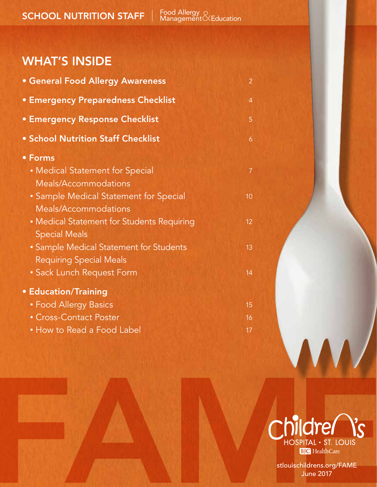# WHAT'S INSIDE

| <b>• General Food Allergy Awareness</b>    | $\overline{c}$ |
|--------------------------------------------|----------------|
| <b>• Emergency Preparedness Checklist</b>  | $\overline{4}$ |
| <b>• Emergency Response Checklist</b>      | 5              |
| <b>• School Nutrition Staff Checklist</b>  | $\ddot{\circ}$ |
| • Forms                                    |                |
| • Medical Statement for Special            | 7              |
| Meals/Accommodations                       |                |
| • Sample Medical Statement for Special     | 10             |
| Meals/Accommodations                       |                |
| • Medical Statement for Students Requiring | 12             |
| <b>Special Meals</b>                       |                |
| • Sample Medical Statement for Students    | 13             |
| <b>Requiring Special Meals</b>             |                |
| • Sack Lunch Request Form                  | 14             |
| <b>• Education/Training</b>                |                |
| • Food Allergy Basics                      | 15             |
| <b>- Cross-Contact Poster</b>              | 16             |
| • How to Read a Food Label                 | 17             |



stlouischildrens.org/FAME June 2017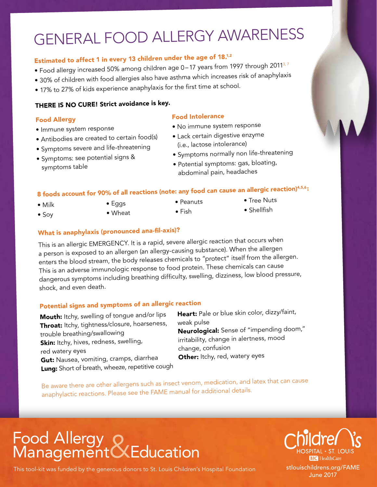# <span id="page-1-0"></span>GENERAL FOOD ALLERGY AWARENESS

# Estimated to affect 1 in every 13 children under the age of 18.1,2

- $\bullet$  Food allergy increased 50% among children age 0–17 years from 1997 through 2011<sup>3, 7</sup>
- 30% of children with food allergies also have asthma which increases risk of anaphylaxis
- 17% to 27% of kids experience anaphylaxis for the first time at school.

### THERE IS NO CURE! Strict avoidance is key.

### Food Allergy

- Immune system response
- Antibodies are created to certain food(s)
- Symptoms severe and life-threatening
- Symptoms: see potential signs & symptoms table

### Food Intolerance

- No immune system response
- Lack certain digestive enzyme (i.e., lactose intolerance)
- Symptoms normally non life-threatening
- Potential symptoms: gas, bloating, abdominal pain, headaches

# 8 foods account for 90% of all reactions (note: any food can cause an allergic reaction)<sup>4,5,6</sup>:

- Milk
- Eggs
- Peanuts
- Tree Nuts
- Soy
- 
- 
- 
- 
- 
- Fish
- Shellfish
- 
- Wheat
- 
- 

# What is anaphylaxis (pronounced ana-fil-axis)?

This is an allergic EMERGENCY. It is a rapid, severe allergic reaction that occurs when a person is exposed to an allergen (an allergy-causing substance). When the allergen enters the blood stream, the body releases chemicals to "protect" itself from the allergen. This is an adverse immunologic response to food protein. These chemicals can cause dangerous symptoms including breathing difficulty, swelling, dizziness, low blood pressure, shock, and even death.

### Potential signs and symptoms of an allergic reaction

Mouth: Itchy, swelling of tongue and/or lips Throat: Itchy, tightness/closure, hoarseness, trouble breathing/swallowing Skin: Itchy, hives, redness, swelling, red watery eyes **Gut:** Nausea, vomiting, cramps, diarrhea Lung: Short of breath, wheeze, repetitive cough

Heart: Pale or blue skin color, dizzy/faint, weak pulse Neurological: Sense of "impending doom," irritability, change in alertness, moo<sup>d</sup> change, confusion Other: Itchy, red, watery eyes

Be aware there are other allergens such as insect venom, medication, and latex that can cause anaphylactic reactions. Please see the FAME manual for additional details.

# Food Allergy<br>Management&Education



This tool-kit was funded by the generous donors to St. Louis Children's Hospital Foundation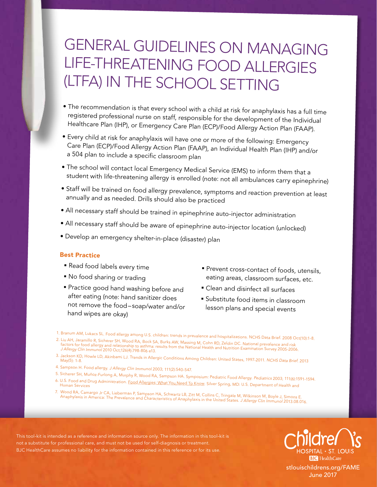# GENERAL GUIDELINES ON MANAGING LIFE-THREATENING FOOD ALLERGIES (LTFA) IN THE SCHOOL SETTING

- The recommendation is that every school with a child at risk for anaphylaxis has a full time registered professional nurse on staff, responsible for the development of the Individual Healthcare Plan (IHP), or Emergency Care Plan (ECP)/Food Allergy Action Plan (FAAP).
- Every child at risk for anaphylaxis will have one or more of the following: Emergency Care Plan (ECP)/Food Allergy Action Plan (FAAP), an Individual Health Plan (IHP) and/or a 504 plan to include a specific classroom plan
- The school will contact local Emergency Medical Service (EMS) to inform them that a student with life-threatening allergy is enrolled (note: not all ambulances carry epinephrine)
- Staff will be trained on food allergy prevalence, symptoms and reaction prevention at least annually and as needed. Drills should also be practiced
- All necessary staff should be trained in epinephrine auto-injector administration
- All necessary staff should be aware of epinephrine auto-injector location (unlocked)
- Develop an emergency shelter-in-place (disaster) plan

### Best Practice

- Read food labels every time
- No food sharing or trading
- Practice good hand washing before and after eating (note: hand sanitizer does not remove the food–soap/water and/or hand wipes are okay)
- Prevent cross-contact of foods, utensils, eating areas, classroom surfaces, etc.
- **Clean and disinfect all surfaces**
- Substitute food items in classroom lesson plans and special events

1. Branum AM, Lukacs SL. Food allergy among U.S. children: trends in prevalence and hospitalizations. NCHS Data Brief. 2008 Oct(10):1-8.

- 2. Liu AH, Jaramillo R, Sicherer SH, Wood RA, Bock SA, Burks AW, Massing M, Cohn RD, Zeldin DC. National prevalence and risk factors for food allergy and relationship to asthma: results from the National Health and Nutrition Examination Survey 2005-2006. *J Allergy Clin Immunol* 2010 Oct;126(4):798-806 e13.
- 3. Jackson KD, Howle LD, Akinbami LJ. Trends in Allergic Conditions Among Children: United States, 1997-2011. *NCHS Data Brief* May(5): 1-8. . 2013
- 4. Sampson H. Food allergy. *J Allergy Clin Immunol* 2003; 111(2):540-547.
- 5. Sicherer SH, Muñoz-Furlong A, Murphy R, Wood RA, Sampson HA. Symposium: Pediatric Food Allergy. *Pediatrics* 2003; 111(6):1591-1594. 6. U.S. Food and Drug Administration. Food Allergies: What You Need To Know. Silver Spring, MD: U.S. Department of Health and Human Services
- 7. Wood RA, Camargo Jr CA, Lieberman P, Sampson HA, Schwartz LB, Zitt M, Collins C, Tringale M, Wilkinson M, Boyle J, Simons E.<br>Anaphylaxis in America: The Prevalence and Characteristics of Anaphylaxis in the United States

This tool-kit is intended as a reference and information source only. The information in this tool-kit is not a substitute for professional care, and must not be used for self-diagnosis or treatment. BJC HealthCare assumes no liability for the information contained in this reference or for its use.

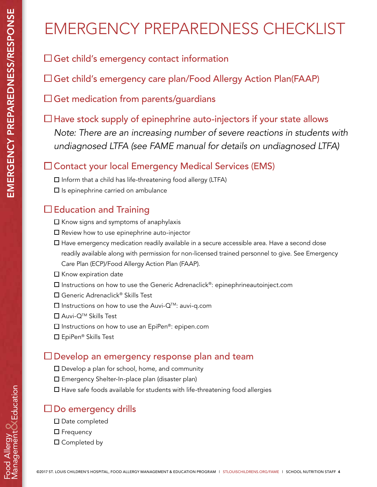# <span id="page-3-0"></span>EMERGENCY PREPAREDNESS CHECKLIST

- $\Box$  Get child's emergency contact information
- Get child's emergency care plan/Food Allergy Action Plan(FAAP)
- $\Box$  Get medication from parents/quardians
- $\Box$  Have stock supply of epinephrine auto-injectors if your state allows *Note: There are an increasing number of severe reactions in students with undiagnosed LTFA (see FAME manual for details on undiagnosed LTFA)*

### □ Contact your local Emergency Medical Services (EMS)

 $\square$  Inform that a child has life-threatening food allergy (LTFA)  $\square$  Is epinephrine carried on ambulance

## $\square$  Education and Training

- $\square$  Know signs and symptoms of anaphylaxis
- $\square$  Review how to use epinephrine auto-injector
- Have emergency medication readily available in a secure accessible area. Have a second dose readily available along with permission for non-licensed trained personnel to give. See Emergency Care Plan (ECP)/Food Allergy Action Plan (FAAP).
- $\square$  Know expiration date
- Instructions on how to use the Generic Adrenaclick ®: epinephrineautoinject.com
- Generic Adrenaclick ® Skills Test
- $\square$  Instructions on how to use the Auvi- $Q^{\text{TM}}$ : auvi-q.com
- Auvi-QTM Skills Test
- Instructions on how to use an EpiPen ®: epipen.com
- EpiPen ® Skills Test

### □Develop an emergency response plan and team

- Develop a plan for school, home, and community
- Emergency Shelter-In-place plan (disaster plan)
- $\Box$  Have safe foods available for students with life-threatening food allergies

### □ Do emergency drills

- □ Date completed
- □ Frequency
- □ Completed by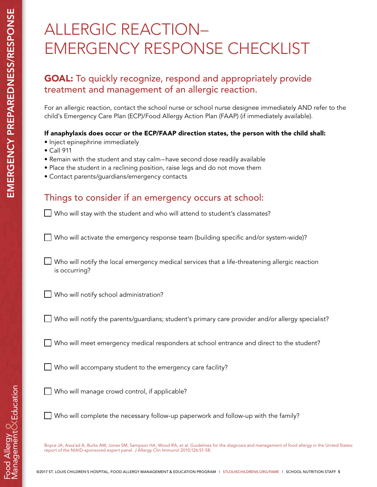# <span id="page-4-0"></span>ALLERGIC REACTION– EMERGENCY RESPONSE CHECKLIST

### GOAL: To quickly recognize, respond and appropriately provide treatment and management of an allergic reaction.

For an allergic reaction, contact the school nurse or school nurse designee immediately AND refer to the child's Emergency Care Plan (ECP)/Food Allergy Action Plan (FAAP) (if immediately available).

### If anaphylaxis does occur or the ECP/FAAP direction states, the person with the child shall:

- Inject epinephrine immediately
- Call 911
- Remain with the student and stay calm–have second dose readily available
- Place the student in a reclining position, raise legs and do not move them
- Contact parents/guardians/emergency contacts

### Things to consider if an emergency occurs at school:

 $\Box$  Who will stay with the student and who will attend to student's classmates?

Who will activate the emergency response team (building specific and/or system-wide)?

 $\Box$  Who will notify the local emergency medical services that a life-threatening allergic reaction is occurring?

Who will notify school administration?

 $\Box$  Who will notify the parents/quardians; student's primary care provider and/or allergy specialist?

Who will meet emergency medical responders at school entrance and direct to the student?

Who will accompany student to the emergency care facility?

Who will manage crowd control, if applicable?

Who will complete the necessary follow-up paperwork and follow-up with the family?

Boyce JA, Assa'ad A, Burks AW, Jones SM, Sampson HA, Wood RA, et al. Guidelines for the diagnosis and management of food allergy in the United States: report of the NIAID-sponsored expert panel. J Allergy Clin Immunol 2010;126:S1-58.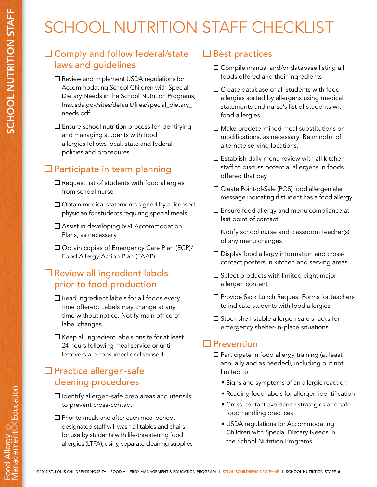# <span id="page-5-0"></span>SCHOOL NUTRITION STAFF CHECKLIST

### □ Comply and follow federal/state laws and guidelines

- $\square$  Review and implement USDA regulations for Accommodating School Children with Special Dietary Needs in the School Nutrition Programs, fns.usda.gov/sites/default/files/special\_dietary\_ needs.pdf
- $\square$  Ensure school nutrition process for identifying and managing students with food allergies follows local, state and federal policies and procedures

# $\square$  Participate in team planning

- $\square$  Request list of students with food allergies from school nurse
- $\square$  Obtain medical statements signed by a licensed physician for students requiring special meals
- Assist in developing 504 Accommodation Plans, as necessary
- Obtain copies of Emergency Care Plan (ECP)/ Food Allergy Action Plan (FAAP)

### $\square$  Review all ingredient labels prior to food production

- $\square$  Read ingredient labels for all foods every time offered. Labels may change at any time without notice. Notify main office of label changes.
- $\square$  Keep all ingredient labels onsite for at least 24 hours following meal service or until leftovers are consumed or disposed.

## $\square$  Practice allergen-safe cleaning procedures

- $\square$  Identify allergen-safe prep areas and utensils to prevent cross-contact
- $\square$  Prior to meals and after each meal period, designated staff will wash all tables and chairs for use by students with life-threatening food allergies (LTFA), using separate cleaning supplies

### $\square$  Best practices

- □ Compile manual and/or database listing all foods offered and their ingredients
- $\square$  Create database of all students with food allergies sorted by allergens using medical statements and nurse's list of students with food allergies
- $\square$  Make predetermined meal substitutions or modifications, as necessary. Be mindful of alternate serving locations.
- $\square$  Establish daily menu review with all kitchen staff to discuss potential allergens in foods offered that day
- □ Create Point-of-Sale (POS) food allergen alert message indicating if student has a food allergy
- □ Ensure food allergy and menu compliance at last point of contact.
- $\square$  Notify school nurse and classroom teacher(s) of any menu changes
- $\square$  Display food allergy information and crosscontact posters in kitchen and serving areas
- $\square$  Select products with limited eight major allergen content
- Provide Sack Lunch Request Forms for teachers to indicate students with food allergies
- $\square$  Stock shelf stable allergen safe snacks for emergency shelter-in-place situations

## $\square$  Prevention

- $\square$  Participate in food allergy training (at least annually and as needed), including but not limited to:
	- Signs and symptoms of an allergic reaction
	- Reading food labels for allergen identification
	- Cross-contact avoidance strategies and safe food handling practices
	- USDA regulations for Accommodating Children with Special Dietary Needs in the School Nutrition Programs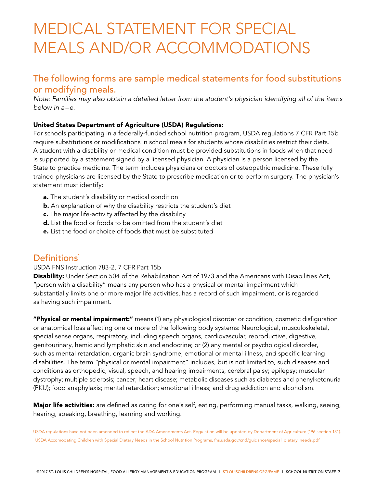# <span id="page-6-0"></span>MEDICAL STATEMENT FOR SPECIAL MEALS AND/OR ACCOMMODATIONS

### The following forms are sample medical statements for food substitutions or modifying meals.

*Note: Families may also obtain a detailed letter from the student's physician identifying all of the items below in a–e.*

### United States Department of Agriculture (USDA) Regulations:

For schools participating in a federally-funded school nutrition program, USDA regulations 7 CFR Part 15b require substitutions or modifications in school meals for students whose disabilities restrict their diets. A student with a disability or medical condition must be provided substitutions in foods when that need is supported by a statement signed by a licensed physician. A physician is a person licensed by the State to practice medicine. The term includes physicians or doctors of osteopathic medicine. These fully trained physicians are licensed by the State to prescribe medication or to perform surgery. The physician's statement must identify:

- a. The student's disability or medical condition
- **b.** An explanation of why the disability restricts the student's diet
- c. The major life-activity affected by the disability
- d. List the food or foods to be omitted from the student's diet
- e. List the food or choice of foods that must be substituted

### Definitions<sup>1</sup>

### USDA FNS Instruction 783-2, 7 CFR Part 15b

Disability: Under Section 504 of the Rehabilitation Act of 1973 and the Americans with Disabilities Act, "person with a disability" means any person who has a physical or mental impairment which substantially limits one or more major life activities, has a record of such impairment, or is regarded as having such impairment.

"Physical or mental impairment:" means (1) any physiological disorder or condition, cosmetic disfiguration or anatomical loss affecting one or more of the following body systems: Neurological, musculoskeletal, special sense organs, respiratory, including speech organs, cardiovascular, reproductive, digestive, genitourinary, hemic and lymphatic skin and endocrine; or (2) any mental or psychological disorder, such as mental retardation, organic brain syndrome, emotional or mental illness, and specific learning disabilities. The term "physical or mental impairment" includes, but is not limited to, such diseases and conditions as orthopedic, visual, speech, and hearing impairments; cerebral palsy; epilepsy; muscular dystrophy; multiple sclerosis; cancer; heart disease; metabolic diseases such as diabetes and phenylketonuria (PKU); food anaphylaxis; mental retardation; emotional illness; and drug addiction and alcoholism.

Major life activities: are defined as caring for one's self, eating, performing manual tasks, walking, seeing, hearing, speaking, breathing, learning and working.

USDA regulations have not been amended to reflect the ADA Amendments Act. Regulation will be updated by Department of Agriculture (196 section 131). 1 USDA Accomodating Children with Special Dietary Needs in the School Nutrition Programs, fns.usda.gov/cnd/guidance/special\_dietary\_needs.pdf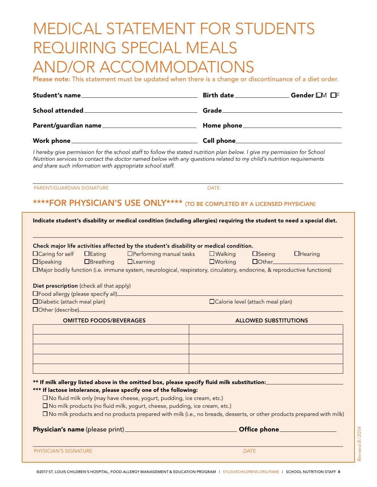# MEDICAL STATEMENT FOR STUDENTS REQUIRING SPECIAL MEALS AND/OR ACCOMMODATIONS

Please note: This statement must be updated when there is a change or discontinuance of a diet order.

| Student's name                                                                                                                                                                                                                                                                                                                                                                                           | Birth date __________________Gender LM LF                                                                               |  |
|----------------------------------------------------------------------------------------------------------------------------------------------------------------------------------------------------------------------------------------------------------------------------------------------------------------------------------------------------------------------------------------------------------|-------------------------------------------------------------------------------------------------------------------------|--|
|                                                                                                                                                                                                                                                                                                                                                                                                          |                                                                                                                         |  |
| Parent/guardian name                                                                                                                                                                                                                                                                                                                                                                                     |                                                                                                                         |  |
|                                                                                                                                                                                                                                                                                                                                                                                                          |                                                                                                                         |  |
| I hereby give permission for the school staff to follow the stated nutrition plan below. I give my permission for School<br>Nutrition services to contact the doctor named below with any questions related to my child's nutrition requirements<br>and share such information with appropriate school staff.                                                                                            |                                                                                                                         |  |
| PARENT/GUARDIAN SIGNATURE                                                                                                                                                                                                                                                                                                                                                                                | <b>DATE</b>                                                                                                             |  |
| ****FOR PHYSICIAN'S USE ONLY**** (TO BE COMPLETED BY A LICENSED PHYSICIAN)                                                                                                                                                                                                                                                                                                                               |                                                                                                                         |  |
| Indicate student's disability or medical condition (including allergies) requiring the student to need a special diet.                                                                                                                                                                                                                                                                                   |                                                                                                                         |  |
| Check major life activities affected by the student's disability or medical condition.<br>□Caring for self □Eating<br><b>Example 1</b> Performing manual tasks<br>□Speaking □Breathing □Learning<br>□Major bodily function (i.e. immune system, neurological, respiratory, circulatory, endocrine, & reproductive functions)<br>Diet prescription (check all that apply)<br>DDiabetic (attach meal plan) | $\Box$ Walking $\Box$ Seeing<br>$\Box$ Hearing<br>Norking Nother<br>□Calorie level (attach meal plan)                   |  |
|                                                                                                                                                                                                                                                                                                                                                                                                          |                                                                                                                         |  |
| <b>OMITTED FOODS/BEVERAGES</b>                                                                                                                                                                                                                                                                                                                                                                           | <b>ALLOWED SUBSTITUTIONS</b>                                                                                            |  |
| ** If milk allergy listed above in the omitted box, please specify fluid milk substitution:___<br>*** If lactose intolerance, please specify one of the following:<br>$\square$ No fluid milk only (may have cheese, yogurt, pudding, ice cream, etc.)<br>□ No milk products (no fluid milk, yogurt, cheese, pudding, ice cream, etc.)                                                                   | □ No milk products and no products prepared with milk (i.e., no breads, desserts, or other products prepared with milk) |  |
|                                                                                                                                                                                                                                                                                                                                                                                                          |                                                                                                                         |  |
| PHYSICIAN'S SIGNATURE                                                                                                                                                                                                                                                                                                                                                                                    | <b>DATE</b>                                                                                                             |  |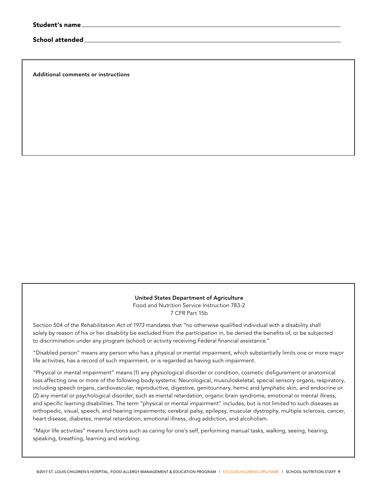School attended

Additional comments or instructions

### United States Department of Agriculture

Food and Nutrition Service Instruction 783-2 7 CFR Part 15b

Section 504 of the *Rehabilitation Act of 1973* mandates that "no otherwise qualified individual with a disability shall solely by reason of his or her disability be excluded from the participation in, be denied the benefits of, or be subjected to discrimination under any program (school) or activity receiving Federal financial assistance."

"Disabled person" means any person who has a physical or mental impairment, which substantially limits one or more major life activities, has a record of such impairment, or is regarded as having such impairment.

"Physical or mental impairment" means (1) any physiological disorder or condition, cosmetic disfigurement or anatomical loss affecting one or more of the following body systems: Neurological, musculoskeletal, special sensory organs, respiratory, including speech organs, cardiovascular, reproductive, digestive, genitourinary, hemic and lymphatic skin, and endocrine or (2) any mental or psychological disorder, such as mental retardation, organic brain syndrome, emotional or mental illness, and specific learning disabilities. The term "physical or mental impairment" includes, but is not limited to such diseases as orthopedic, visual, speech, and hearing impairments; cerebral palsy, epilepsy, muscular dystrophy, multiple sclerosis, cancer, heart disease, diabetes, mental retardation, emotional illness, drug addiction, and alcoholism.

"Major life activities" means functions such as caring for one's self, performing manual tasks, walking, seeing, hearing, speaking, breathing, learning and working.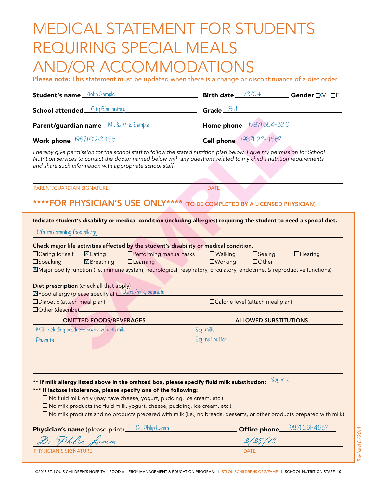# <span id="page-9-0"></span>MEDICAL STATEMENT FOR STUDENTS REQUIRING SPECIAL MEALS AND/OR ACCOMMODATIONS

Please note: This statement must be updated when there is a change or discontinuance of a diet order.

| <b>Student's name</b> John Sample             | Birth date $1/3/04$<br>Gender DM OF |
|-----------------------------------------------|-------------------------------------|
| <b>School attended</b> City Elementary        | Grade 3rd                           |
| <b>Parent/guardian name</b> Mr. & Mrs. Sample | Home phone 487 654-3210             |
| Work phone (987) 012-3456                     | Cell phone (987) 123-4567           |

### \*\*\*\*FOR PHYSICIAN'S USE ONLY\*\*\*\* (TO BE COMPLETED BY A LICENSED PHYSICIAN)

| Parent/guardian name Mr. & Mrs. Sample                                                                                                                                                                                                                                                                                                                                                                        | Home phone 987 654-3210                                                                                                         |
|---------------------------------------------------------------------------------------------------------------------------------------------------------------------------------------------------------------------------------------------------------------------------------------------------------------------------------------------------------------------------------------------------------------|---------------------------------------------------------------------------------------------------------------------------------|
| Work phone (987) 012-3456                                                                                                                                                                                                                                                                                                                                                                                     | Cell phone (987) 123-4567                                                                                                       |
| I hereby give permission for the school staff to follow the stated nutrition plan below. I give my permission for School<br>Nutrition services to contact the doctor named below with any questions related to my child's nutrition requirements<br>and share such information with appropriate school staff.                                                                                                 |                                                                                                                                 |
| PARENT/GUARDIAN SIGNATURE                                                                                                                                                                                                                                                                                                                                                                                     | <b>DATE</b>                                                                                                                     |
| **** FOR PHYSICIAN'S USE ONLY**** (TO BE COMPLETED BY A LICENSED PHYSICIAN)                                                                                                                                                                                                                                                                                                                                   |                                                                                                                                 |
| Indicate student's disability or medical condition (including allergies) requiring the student to need a special diet.<br>Life-threatening food allergy                                                                                                                                                                                                                                                       |                                                                                                                                 |
| Check major life activities affected by the student's disability or medical condition.<br>$\Box$ Caring for self<br><b>X</b> Eating<br><b>OPerforming manual tasks</b><br>$\square$ Speaking<br><b>X</b> Breathing<br>$\Box$ Learning<br>⊠Major bodily function (i.e. immune system, neurological, respiratory, circulatory, endocrine, & reproductive functions)<br>Diet prescription (check all that apply) | $\Box$ Walking<br>$\Box$ Hearing<br>$\Box$ Seeing<br>$\Box$ Working<br>$\Box$ Other $\_\_\_\_\_\_\$                             |
| <b>ZIFood allergy (please specify all)</b> Dairy/milk, peanuts                                                                                                                                                                                                                                                                                                                                                |                                                                                                                                 |
| □Diabetic (attach meal plan)<br>Other (describe)_________                                                                                                                                                                                                                                                                                                                                                     | □ Calorie level (attach meal plan)                                                                                              |
| <b>OMITTED FOODS/BEVERAGES</b>                                                                                                                                                                                                                                                                                                                                                                                | <b>ALLOWED SUBSTITUTIONS</b>                                                                                                    |
| Milk including products prepared with milk                                                                                                                                                                                                                                                                                                                                                                    | Soy milk                                                                                                                        |
| Peanuts                                                                                                                                                                                                                                                                                                                                                                                                       | Soy nut butter                                                                                                                  |
|                                                                                                                                                                                                                                                                                                                                                                                                               |                                                                                                                                 |
|                                                                                                                                                                                                                                                                                                                                                                                                               |                                                                                                                                 |
| ** If milk allergy listed above in the omitted box, please specify fluid milk substitution:                                                                                                                                                                                                                                                                                                                   | Soy milk                                                                                                                        |
| *** If lactose intolerance, please specify one of the following:<br>□ No fluid milk only (may have cheese, yogurt, pudding, ice cream, etc.)<br>$\square$ No milk products (no fluid milk, yogurt, cheese, pudding, ice cream, etc.)                                                                                                                                                                          | $\square$ No milk products and no products prepared with milk (i.e., no breads, desserts, or other products prepared with milk) |
| Dr. Philip Lamm<br>Physician's name (please print)_                                                                                                                                                                                                                                                                                                                                                           | <b>Office phone</b> 987 231-4567                                                                                                |
| Dr. Philip Jamm                                                                                                                                                                                                                                                                                                                                                                                               | 2/25/13                                                                                                                         |

PHYSICIAN'S SIGNATURE DATE OF THE SERVICE OF THE SERVICE OF THE SERVICE OF THE SERVICE OF THE SERVICE OF THE S

**Revised 8/2014** *Revised 8/2014*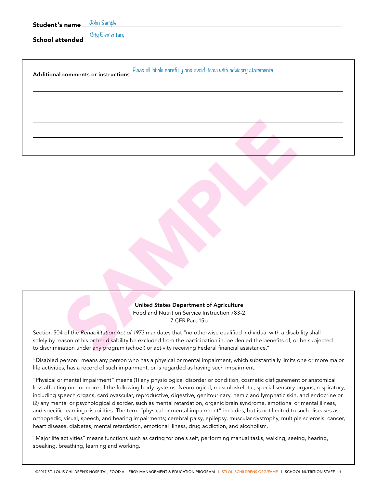| Student's name. | John: |
|-----------------|-------|
|                 |       |

Sample City Elementary

School attended

Additional comments or instructions Read all labels carefully and avoid items with advisory statements

United States Department of Agriculture Food and Nutrition Service Instruction 783-2 7 CFR Part 15b

Section 504 of the *Rehabilitation Act of 1973* mandates that "no otherwise qualified individual with a disability shall solely by reason of his or her disability be excluded from the participation in, be denied the benefits of, or be subjected to discrimination under any program (school) or activity receiving Federal financial assistance." United States Department of Agriculture<br>
Food and Nutrition Service Instruction 783-2<br>
TCFR Part 15b<br>
4 of the Rehabilitation Act of 1973 mandates that "no otherwise qualified individual with a disa<br>
eason of his or ther d

"Disabled person" means any person who has a physical or mental impairment, which substantially limits one or more major life activities, has a record of such impairment, or is regarded as having such impairment.

"Physical or mental impairment" means (1) any physiological disorder or condition, cosmetic disfigurement or anatomical loss affecting one or more of the following body systems: Neurological, musculoskeletal, special sensory organs, respiratory, including speech organs, cardiovascular, reproductive, digestive, genitourinary, hemic and lymphatic skin, and endocrine or (2) any mental or psychological disorder, such as mental retardation, organic brain syndrome, emotional or mental illness, and specific learning disabilities. The term "physical or mental impairment" includes, but is not limited to such diseases as orthopedic, visual, speech, and hearing impairments; cerebral palsy, epilepsy, muscular dystrophy, multiple sclerosis, cancer, heart disease, diabetes, mental retardation, emotional illness, drug addiction, and alcoholism.

"Major life activities" means functions such as caring for one's self, performing manual tasks, walking, seeing, hearing, speaking, breathing, learning and working.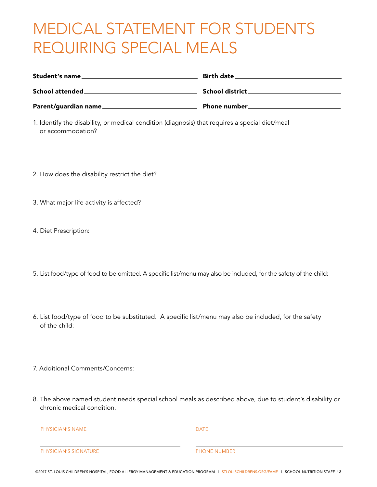# <span id="page-11-0"></span>MEDICAL STATEMENT FOR STUDENTS REQUIRING SPECIAL MEALS

| <b>Student's name</b> | <b>Birth date</b>     |
|-----------------------|-----------------------|
| School attended.      | School district_      |
|                       | Phone number_________ |

1. Identify the disability, or medical condition (diagnosis) that requires a special diet/meal or accommodation?

- 2. How does the disability restrict the diet?
- 3. What major life activity is affected?
- 4. Diet Prescription:
- 5. List food/type of food to be omitted. A specific list/menu may also be included, for the safety of the child:
- 6. List food/type of food to be substituted. A specific list/menu may also be included, for the safety of the child:
- 7. Additional Comments/Concerns:
- 8. The above named student needs special school meals as described above, due to student's disability or chronic medical condition.

| PHYSICIAN'S NAME | <b>DATE</b> |
|------------------|-------------|
|------------------|-------------|

PHYSICIAN'S SIGNATURE **Example 2018** PHONE NUMBER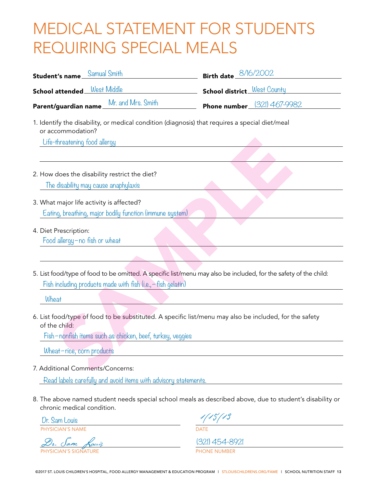# <span id="page-12-0"></span>MEDICAL STATEMENT FOR STUDENTS REQUIRING SPECIAL MEALS

| <b>Student's name</b> Samual Smith                                                                                                                                                                                | <b>Birth date</b> 8/16/2002                                                                                      |
|-------------------------------------------------------------------------------------------------------------------------------------------------------------------------------------------------------------------|------------------------------------------------------------------------------------------------------------------|
| <b>School attended</b> West Middle                                                                                                                                                                                | <b>School district_West County</b>                                                                               |
| Mr. and Mrs. Smith<br>Parent/guardian name_                                                                                                                                                                       | Phone number (321) 467-9982                                                                                      |
| 1. Identify the disability, or medical condition (diagnosis) that requires a special diet/meal<br>or accommodation?                                                                                               |                                                                                                                  |
| Life-threatening food allergy                                                                                                                                                                                     |                                                                                                                  |
|                                                                                                                                                                                                                   |                                                                                                                  |
| 2. How does the disability restrict the diet?<br>The disability may cause anaphylaxis                                                                                                                             |                                                                                                                  |
| 3. What major life activity is affected?<br>Eating, breathing, major bodily function (immune system)                                                                                                              |                                                                                                                  |
| 4. Diet Prescription:<br>Food allergy-no fish or wheat                                                                                                                                                            |                                                                                                                  |
| Fish including products made with fish (i.e., $-$ fish gelatin)                                                                                                                                                   | 5. List food/type of food to be omitted. A specific list/menu may also be included, for the safety of the child: |
| Wheat                                                                                                                                                                                                             |                                                                                                                  |
| 6. List food/type of food to be substituted. A specific list/menu may also be included, for the safety<br>of the child:<br>Fish-nonfish items such as chicken, beef, turkey, veggies<br>Wheat-rice, corn products |                                                                                                                  |
| 7. Additional Comments/Concerns:                                                                                                                                                                                  |                                                                                                                  |

Read labels carefully and avoid items with advisory statements.

8. The above named student needs special school meals as described above, due to student's disability or chronic medical condition.

**PHYSICIAN'S NAME** Dr. Sam Louis

Dr. Sam Louis

 $\frac{1}{15}/13$ 

PHONE NUMBER (321) 454-8921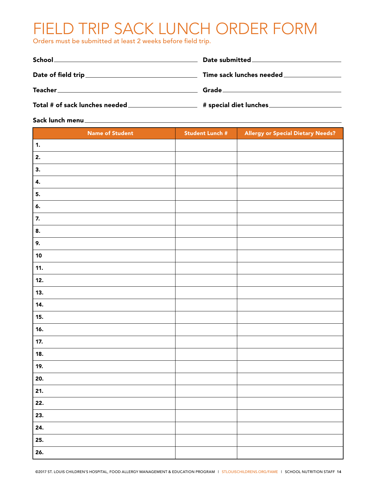# <span id="page-13-0"></span>FIELD TRIP SACK LUNCH ORDER FORM

Orders must be submitted at least 2 weeks before field trip.

|                                 | Date submitted and the submitted of the state of the state of the state of the state of the state of the state of the state of the state of the state of the state of the state of the state of the state of the state of the      |
|---------------------------------|------------------------------------------------------------------------------------------------------------------------------------------------------------------------------------------------------------------------------------|
|                                 |                                                                                                                                                                                                                                    |
|                                 | <b>Grade Canadian Canadian Canadian Canadian Canadian Canadian Canadian Canadian Canadian Canadian Canadian Canadian Canadian Canadian Canadian Canadian Canadian Canadian Canadian Canadian Canadian Canadian Canadian Canadi</b> |
| Total # of sack lunches needed. | # special diet lunches.                                                                                                                                                                                                            |

Sack lunch menu

| <b>Name of Student</b> | <b>Student Lunch #</b> | <b>Allergy or Special Dietary Needs?</b> |
|------------------------|------------------------|------------------------------------------|
| 1.                     |                        |                                          |
| 2.                     |                        |                                          |
| 3.                     |                        |                                          |
| 4.                     |                        |                                          |
| 5.                     |                        |                                          |
| 6.                     |                        |                                          |
| 7.                     |                        |                                          |
| 8.                     |                        |                                          |
| 9.                     |                        |                                          |
| 10                     |                        |                                          |
| 11.                    |                        |                                          |
| 12.                    |                        |                                          |
| 13.                    |                        |                                          |
| 14.                    |                        |                                          |
| 15.                    |                        |                                          |
| 16.                    |                        |                                          |
| 17.                    |                        |                                          |
| 18.                    |                        |                                          |
| 19.                    |                        |                                          |
| 20.                    |                        |                                          |
| 21.                    |                        |                                          |
| 22.                    |                        |                                          |
| 23.                    |                        |                                          |
| 24.                    |                        |                                          |
| 25.                    |                        |                                          |
| 26.                    |                        |                                          |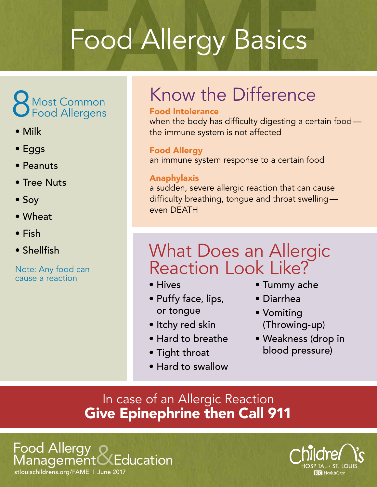# <span id="page-14-0"></span>Food Allergy Basics

# 8 Most Common<br>8 Food Allergens Food Allergens

- Milk
- Eggs
- Peanuts
- Tree Nuts
- Soy
- Wheat
- Fish
- Shellfish

Note: Any food can cause a reaction

# Know the Difference

### Food Intolerance

when the body has difficulty digesting a certain food the immune system is not affected

### Food Allergy

an immune system response to a certain food

### Anaphylaxis

a sudden, severe allergic reaction that can cause difficulty breathing, tongue and throat swelling even DEATH

# What Does an Allergic Reaction Look Like?

- Hives
- Puffy face, lips, or tongue
- Itchy red skin
- Hard to breathe
- Tight throat
- Hard to swallow
- Tummy ache
- Diarrhea
- Vomiting (Throwing-up)
- Weakness (drop in blood pressure)

# In case of an Allergic Reaction Give Epinephrine then Call 911



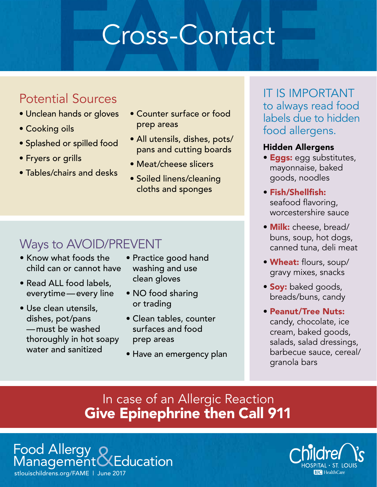# <span id="page-15-0"></span>Cross-Contact Cross-Contact

# Potential Sources

- Unclean hands or gloves
- Cooking oils
- Splashed or spilled food
- Fryers or grills
- Tables/chairs and desks
- Counter surface or food prep areas
- All utensils, dishes, pots/ pans and cutting boards
- Meat/cheese slicers
- Soiled linens/cleaning cloths and sponges

# Ways to AVOID/PREVENT

- Know what foods the child can or cannot have
- Read ALL food labels, everytime—every line
- Use clean utensils, dishes, pot/pans —must be washed thoroughly in hot soapy water and sanitized
- Practice good hand washing and use clean gloves
- NO food sharing or trading
- Clean tables, counter surfaces and food prep areas
- Have an emergency plan

# IT IS IMPORTANT to always read food labels due to hidden food allergens.

### Hidden Allergens

- **· Eggs:** egg substitutes, mayonnaise, baked goods, noodles
- Fish/Shellfish: seafood flavoring, worcestershire sauce
- **Milk:** cheese, bread/ buns, soup, hot dogs, canned tuna, deli meat
- Wheat: flours, soup/ gravy mixes, snacks
- Soy: baked goods, breads/buns, candy
- Peanut/Tree Nuts: candy, chocolate, ice cream, baked goods, salads, salad dressings, barbecue sauce, cereal/ granola bars

In case of an Allergic Reaction Give Epinephrine then Call 911



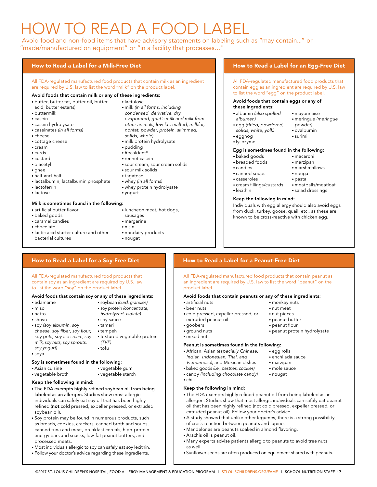# <span id="page-16-0"></span>HOW TO READ A FOOD LABEL

Avoid food and non-food items that have advisory statements on labeling such as "may contain..." or "made/manufactured on equipment" or "in a facility that processes…"

#### How to Read a Label for a Milk-Free Diet

#### All FDA-regulated manufactured food products that contain milk as an ingredient are required by U.S. law to list the word "milk" on the product label.

#### Avoid foods that contain milk or any of these ingredients:

- butter, butter fat, butter oil, butter acid, butter ester(s)
- buttermilk
- casein
- casein hydrolysate
- caseinates *(in all forms)*
- cheese
- cottage cheese
- cream
- curds
- custard
- diacetyl • ghee
- half-and-half
- 
- lactalbumin, lactalbumin phosphate • lactoferrin
- lactose
- Milk is sometimes found in the following:
- artificial butter flavor
- baked goods • caramel candies
- chocolate
- 
- lactic acid starter culture and other bacterial cultures
- lactulose • milk *(in all forms, including condensed, derivative, dry, evaporated, goat's milk and milk from other animals, low fat, malted, milkfat, nonfat, powder, protein, skimmed, solids, whole)*
- milk protein hydrolysate
- pudding
- Recaldent®
- rennet casein
- sour cream, sour cream solids
- sour milk solids
- tagatose
- whey *(in all forms)*
- whey protein hydrolysate • yogurt

- luncheon meat, hot dogs, sausages
- 
- margarine
	- nisin
	- nondairy products
	- nougat

### How to Read a Label for an Egg-Free Diet

All FDA-regulated manufactured food products that contain egg as an ingredient are required by U.S. law to list the word "egg" on the product label.

> • mayonnaise • meringue *(meringue*

*powder)* • ovalbumin • surimi

• macaroni • marzipan • marshmallows • nougat • pasta

• meatballs/meatloaf • salad dressings

#### Avoid foods that contain eggs or any of these ingredients:

- albumin *(also spelled albumen)*
- egg *(dried, powdered, solids, white, yolk)*
- eggnog
- lysozyme

#### Egg is sometimes found in the following:

- baked goods
- breaded foods
- candies
- canned soups
- casseroles
- cream fillings/custards
- lecithin

### Keep the following in mind:

Individuals with egg allergy should also avoid eggs from duck, turkey, goose, quail, etc., as these are known to be cross-reactive with chicken egg.

> • nut meat • nut pieces • peanut butter • peanut flour

• peanut protein hydrolysate

• enchilada sauce • marzipan

### How to Read a Label for a Soy-Free Diet **How to Read a Label for a Peanut-Free Diet**

All FDA-regulated manufactured food products that contain peanut as an ingredient are required by U.S. law to list the word "peanut" on the product label.

#### Avoid foods that contain peanuts or any of these ingredients: • monkey nuts

- artificial nuts
- beer nuts
- cold pressed, expeller pressed, or extruded peanut oil
- goobers
- ground nuts
- mixed nuts

#### Peanut is sometimes found in the following:

- African, Asian *(especially Chinese,*  egg rolls *Indian, Indonesian, Thai, and Vietnamese)*, and Mexican dishes
- baked goods *(i.e., pastries, cookies)*
	- mole sauce • nougat
- candy *(including chocolate candy)*
- chili

#### Keep the following in mind:

- The FDA exempts highly refined peanut oil from being labeled as an allergen. Studies show that most allergic individuals can safely eat peanut oil that has been highly refined (not cold pressed, expeller pressed, or extruded peanut oil). Follow your doctor's advice.
- A study showed that unlike other legumes, there is a strong possibility of cross-reaction between peanuts and lupine.
- Mandelonas are peanuts soaked in almond flavoring.
- Arachis oil is peanut oil.
- Many experts advise patients allergic to peanuts to avoid tree nuts as well.
- Sunflower seeds are often produced on equipment shared with peanuts.
- Soy is sometimes found in the following: • vegetable gum
	- Asian cuisine

• soy *(soy albumin, soy* 

*soy grits, soy ice cream, soy milk, soy nuts, soy sprouts,* 

- vegetable broth • vegetable starch
- Keep the following in mind:
- The FDA exempts highly refined soybean oil from being labeled as an allergen. Studies show most allergic individuals can safely eat soy oil that has been highly refined (not cold pressed, expeller pressed, or extruded soybean oil).
- Soy protein may be found in numerous products, such as breads, cookies, crackers, canned broth and soups, canned tuna and meat, breakfast cereals, high-protein energy bars and snacks, low-fat peanut butters, and processed meats.
- Most individuals allergic to soy can safely eat soy lecithin. • Follow your doctor's advice regarding these ingredients.
	-
- Avoid foods that contain soy or any of these ingredients: • soybean *(curd, granules)* • soy protein *(concentrate, hydrolyzed, isolate)*
	-

All FDA-regulated manufactured food products that contain soy as an ingredient are required by U.S. law to list the word "soy" on the product label.

- soy sauce
	- tamari
- *cheese, soy fiber, soy flour,*  • tempeh
	- textured vegetable protein *(TVP)*
	- tofu
- *soy yogurt)* • soya

• edamame • miso • natto • shoyu